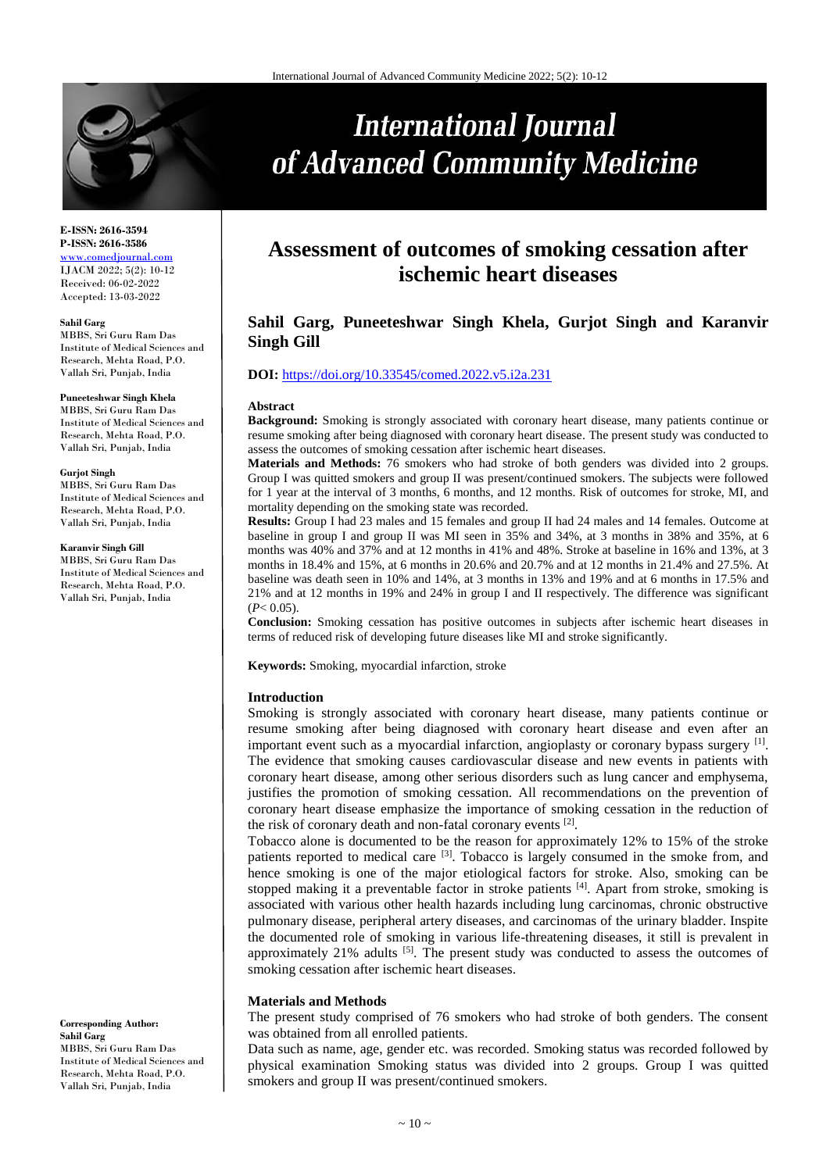

# **International Journal** of Advanced Community Medicine

#### **E-ISSN: 2616-3594 P-ISSN: 2616-3586** [www.comedjournal.com](http://www.comedjournal.com/) IJACM 2022; 5(2): 10-12

Received: 06-02-2022 Accepted: 13-03-2022

#### **Sahil Garg**

MBBS, Sri Guru Ram Das Institute of Medical Sciences and Research, Mehta Road, P.O. Vallah Sri, Punjab, India

#### **Puneeteshwar Singh Khela**

MBBS, Sri Guru Ram Das Institute of Medical Sciences and Research, Mehta Road, P.O. Vallah Sri, Punjab, India

#### **Gurjot Singh**

MBBS, Sri Guru Ram Das Institute of Medical Sciences and Research, Mehta Road, P.O. Vallah Sri, Punjab, India

**Karanvir Singh Gill**

MBBS, Sri Guru Ram Das Institute of Medical Sciences and Research, Mehta Road, P.O. Vallah Sri, Punjab, India

**Corresponding Author: Sahil Garg** MBBS, Sri Guru Ram Das

Institute of Medical Sciences and Research, Mehta Road, P.O. Vallah Sri, Punjab, India

## **Assessment of outcomes of smoking cessation after ischemic heart diseases**

### **Sahil Garg, Puneeteshwar Singh Khela, Gurjot Singh and Karanvir Singh Gill**

#### **DOI:** <https://doi.org/10.33545/comed.2022.v5.i2a.231>

#### **Abstract**

**Background:** Smoking is strongly associated with coronary heart disease, many patients continue or resume smoking after being diagnosed with coronary heart disease. The present study was conducted to assess the outcomes of smoking cessation after ischemic heart diseases.

**Materials and Methods:** 76 smokers who had stroke of both genders was divided into 2 groups. Group I was quitted smokers and group II was present/continued smokers. The subjects were followed for 1 year at the interval of 3 months, 6 months, and 12 months. Risk of outcomes for stroke, MI, and mortality depending on the smoking state was recorded.

**Results:** Group I had 23 males and 15 females and group II had 24 males and 14 females. Outcome at baseline in group I and group II was MI seen in 35% and 34%, at 3 months in 38% and 35%, at 6 months was 40% and 37% and at 12 months in 41% and 48%. Stroke at baseline in 16% and 13%, at 3 months in 18.4% and 15%, at 6 months in 20.6% and 20.7% and at 12 months in 21.4% and 27.5%. At baseline was death seen in 10% and 14%, at 3 months in 13% and 19% and at 6 months in 17.5% and 21% and at 12 months in 19% and 24% in group I and II respectively. The difference was significant  $(P< 0.05)$ .

**Conclusion:** Smoking cessation has positive outcomes in subjects after ischemic heart diseases in terms of reduced risk of developing future diseases like MI and stroke significantly.

**Keywords:** Smoking, myocardial infarction, stroke

#### **Introduction**

Smoking is strongly associated with coronary heart disease, many patients continue or resume smoking after being diagnosed with coronary heart disease and even after an important event such as a myocardial infarction, angioplasty or coronary bypass surgery [1]. The evidence that smoking causes cardiovascular disease and new events in patients with coronary heart disease, among other serious disorders such as lung cancer and emphysema, justifies the promotion of smoking cessation. All recommendations on the prevention of coronary heart disease emphasize the importance of smoking cessation in the reduction of the risk of coronary death and non-fatal coronary events [2].

Tobacco alone is documented to be the reason for approximately 12% to 15% of the stroke patients reported to medical care <sup>[3]</sup>. Tobacco is largely consumed in the smoke from, and hence smoking is one of the major etiological factors for stroke. Also, smoking can be stopped making it a preventable factor in stroke patients  $[4]$ . Apart from stroke, smoking is associated with various other health hazards including lung carcinomas, chronic obstructive pulmonary disease, peripheral artery diseases, and carcinomas of the urinary bladder. Inspite the documented role of smoking in various life-threatening diseases, it still is prevalent in approximately  $21\%$  adults  $[5]$ . The present study was conducted to assess the outcomes of smoking cessation after ischemic heart diseases.

#### **Materials and Methods**

The present study comprised of 76 smokers who had stroke of both genders. The consent was obtained from all enrolled patients.

Data such as name, age, gender etc. was recorded. Smoking status was recorded followed by physical examination Smoking status was divided into 2 groups. Group I was quitted smokers and group II was present/continued smokers.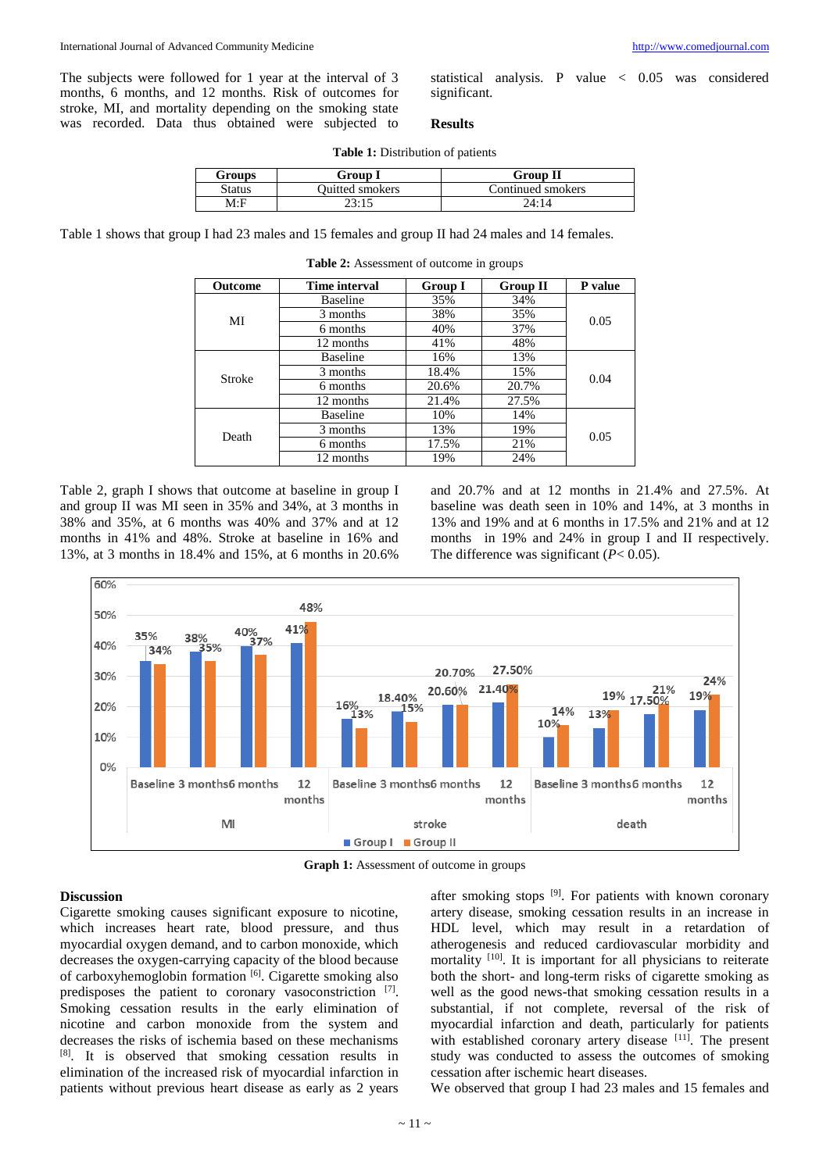The subjects were followed for 1 year at the interval of 3 months, 6 months, and 12 months. Risk of outcomes for stroke, MI, and mortality depending on the smoking state was recorded. Data thus obtained were subjected to

statistical analysis. P value < 0.05 was considered significant.

#### **Results**

|  | <b>Table 1:</b> Distribution of patients |  |
|--|------------------------------------------|--|
|--|------------------------------------------|--|

| Groups | Group I         | <b>Group II</b>   |
|--------|-----------------|-------------------|
| Status | Ouitted smokers | Continued smokers |
| M:F    | 23:15           | 24:14             |

**Table 2:** Assessment of outcome in groups

Table 1 shows that group I had 23 males and 15 females and group II had 24 males and 14 females.

| <b>Outcome</b> | Time interval   | <b>Group I</b> | <b>Group II</b> | P value |
|----------------|-----------------|----------------|-----------------|---------|
| MI             | <b>Baseline</b> | 35%            | 34%             | 0.05    |
|                | 3 months        | 38%            | 35%             |         |
|                | 6 months        | 40%            | 37%             |         |
|                | 12 months       | 41%            | 48%             |         |
| Stroke         | <b>Baseline</b> | 16%            | 13%             | 0.04    |
|                | 3 months        | 18.4%          | 15%             |         |
|                | 6 months        | 20.6%          | 20.7%           |         |
|                | 12 months       | 21.4%          | 27.5%           |         |
| Death          | <b>Baseline</b> | 10%            | 14%             | 0.05    |
|                | 3 months        | 13%            | 19%             |         |
|                | 6 months        | 17.5%          | 21%             |         |
|                | 12 months       | 19%            | 24%             |         |

Table 2, graph I shows that outcome at baseline in group I

and group II was MI seen in 35% and 34%, at 3 months in 38% and 35%, at 6 months was 40% and 37% and at 12 months in 41% and 48%. Stroke at baseline in 16% and 13%, at 3 months in 18.4% and 15%, at 6 months in 20.6%

and 20.7% and at 12 months in 21.4% and 27.5%. At baseline was death seen in 10% and 14%, at 3 months in 13% and 19% and at 6 months in 17.5% and 21% and at 12 months in 19% and 24% in group I and II respectively. The difference was significant (*P*< 0.05).



**Graph 1:** Assessment of outcome in groups

#### **Discussion**

Cigarette smoking causes significant exposure to nicotine, which increases heart rate, blood pressure, and thus myocardial oxygen demand, and to carbon monoxide, which decreases the oxygen-carrying capacity of the blood because of carboxyhemoglobin formation [6]. Cigarette smoking also predisposes the patient to coronary vasoconstriction [7]. Smoking cessation results in the early elimination of nicotine and carbon monoxide from the system and decreases the risks of ischemia based on these mechanisms [8] . It is observed that smoking cessation results in elimination of the increased risk of myocardial infarction in patients without previous heart disease as early as 2 years

after smoking stops [9]. For patients with known coronary artery disease, smoking cessation results in an increase in HDL level, which may result in a retardation of atherogenesis and reduced cardiovascular morbidity and mortality <sup>[10]</sup>. It is important for all physicians to reiterate both the short- and long-term risks of cigarette smoking as well as the good news-that smoking cessation results in a substantial, if not complete, reversal of the risk of myocardial infarction and death, particularly for patients with established coronary artery disease [11]. The present study was conducted to assess the outcomes of smoking cessation after ischemic heart diseases.

We observed that group I had 23 males and 15 females and